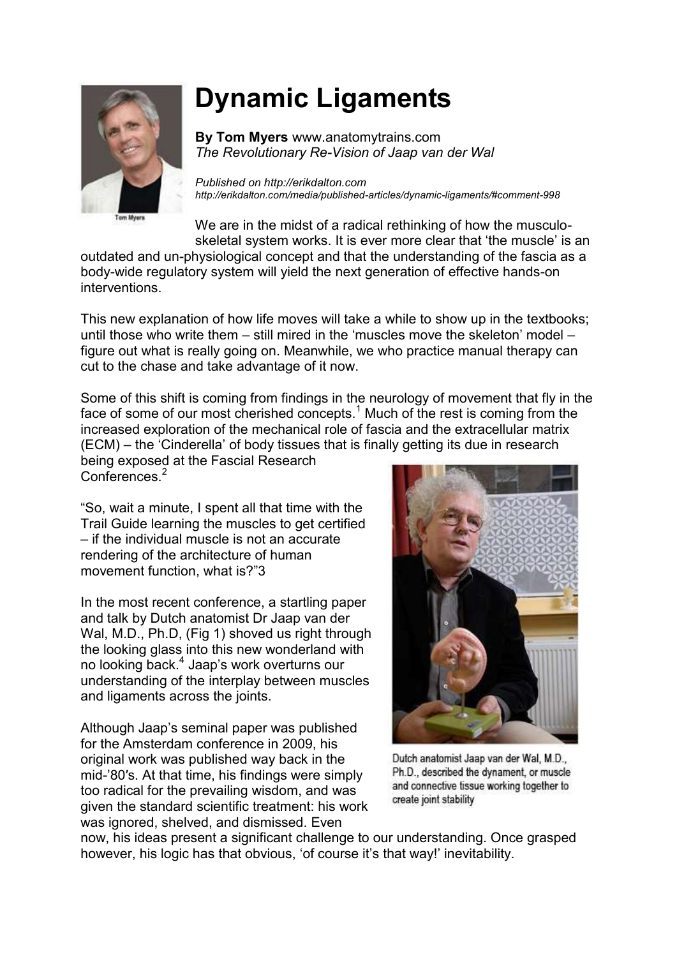

## **Dynamic Ligaments**

**By Tom Myers** www.anatomytrains.com *The Revolutionary Re-Vision of Jaap van der Wal*

*Published on [http://erikdalton.com](http://erikdalton.com/) http://erikdalton.com/media/published-articles/dynamic-ligaments/#comment-998*

We are in the midst of a radical rethinking of how the musculoskeletal system works. It is ever more clear that 'the muscle' is an outdated and un-physiological concept and that the understanding of the fascia as a

body-wide regulatory system will yield the next generation of effective hands-on interventions.

This new explanation of how life moves will take a while to show up in the textbooks; until those who write them – still mired in the 'muscles move the skeleton' model – figure out what is really going on. Meanwhile, we who practice manual therapy can cut to the chase and take advantage of it now.

Some of this shift is coming from findings in the neurology of movement that fly in the face of some of our most cherished concepts.<sup>1</sup> Much of the rest is coming from the increased exploration of the mechanical role of fascia and the extracellular matrix (ECM) – the 'Cinderella' of body tissues that is finally getting its due in research

being exposed at the Fascial Research Conferences.<sup>2</sup>

"So, wait a minute, I spent all that time with the Trail Guide learning the muscles to get certified – if the individual muscle is not an accurate rendering of the architecture of human movement function, what is?"3

In the most recent conference, a startling paper and talk by Dutch anatomist Dr Jaap van der Wal, M.D., Ph.D. (Fig 1) shoved us right through the looking glass into this new wonderland with no looking back.<sup>4</sup> Jaap's work overturns our understanding of the interplay between muscles and ligaments across the joints.

Although Jaap's seminal paper was published for the Amsterdam conference in 2009, his original work was published way back in the mid-'80′s. At that time, his findings were simply too radical for the prevailing wisdom, and was given the standard scientific treatment: his work was ignored, shelved, and dismissed. Even



Dutch anatomist Jaap van der Wal, M.D., Ph.D., described the dynament, or muscle and connective tissue working together to create joint stability

now, his ideas present a significant challenge to our understanding. Once grasped however, his logic has that obvious, 'of course it's that way!' inevitability.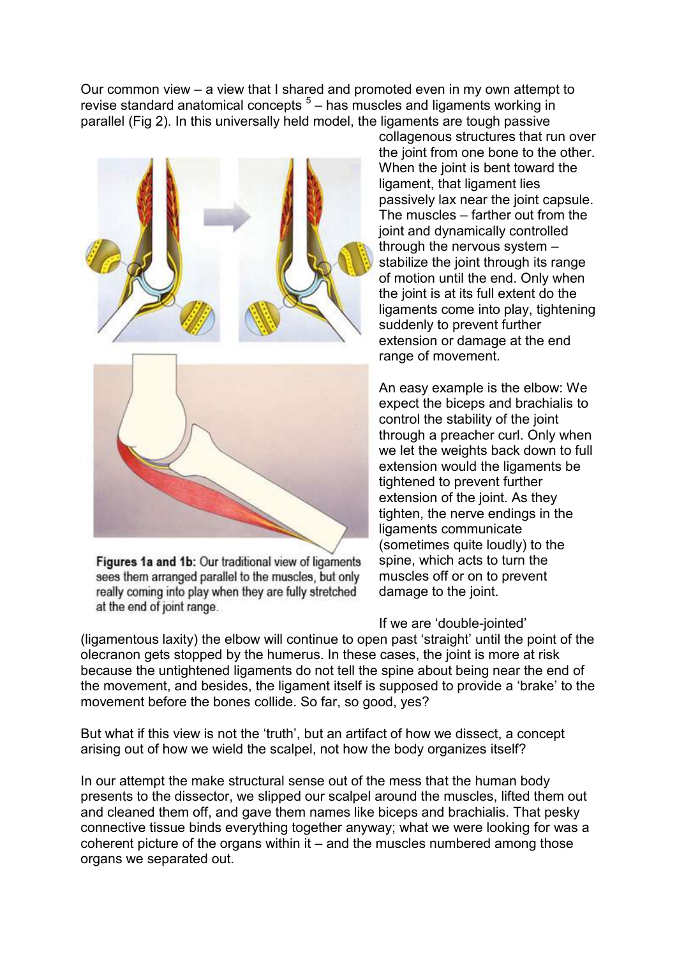Our common view – a view that I shared and promoted even in my own attempt to revise standard anatomical concepts  $5$  – has muscles and ligaments working in parallel (Fig 2). In this universally held model, the ligaments are tough passive



Figures 1a and 1b: Our traditional view of ligaments sees them arranged parallel to the muscles, but only really coming into play when they are fully stretched at the end of joint range.

collagenous structures that run over the joint from one bone to the other. When the joint is bent toward the ligament, that ligament lies passively lax near the joint capsule. The muscles – farther out from the joint and dynamically controlled through the nervous system – stabilize the joint through its range of motion until the end. Only when the joint is at its full extent do the ligaments come into play, tightening suddenly to prevent further extension or damage at the end range of movement.

An easy example is the elbow: We expect the biceps and brachialis to control the stability of the joint through a preacher curl. Only when we let the weights back down to full extension would the ligaments be tightened to prevent further extension of the joint. As they tighten, the nerve endings in the ligaments communicate (sometimes quite loudly) to the spine, which acts to turn the muscles off or on to prevent damage to the joint.

If we are 'double-jointed'

(ligamentous laxity) the elbow will continue to open past 'straight' until the point of the olecranon gets stopped by the humerus. In these cases, the joint is more at risk because the untightened ligaments do not tell the spine about being near the end of the movement, and besides, the ligament itself is supposed to provide a 'brake' to the movement before the bones collide. So far, so good, yes?

But what if this view is not the 'truth', but an artifact of how we dissect, a concept arising out of how we wield the scalpel, not how the body organizes itself?

In our attempt the make structural sense out of the mess that the human body presents to the dissector, we slipped our scalpel around the muscles, lifted them out and cleaned them off, and gave them names like biceps and brachialis. That pesky connective tissue binds everything together anyway; what we were looking for was a coherent picture of the organs within it – and the muscles numbered among those organs we separated out.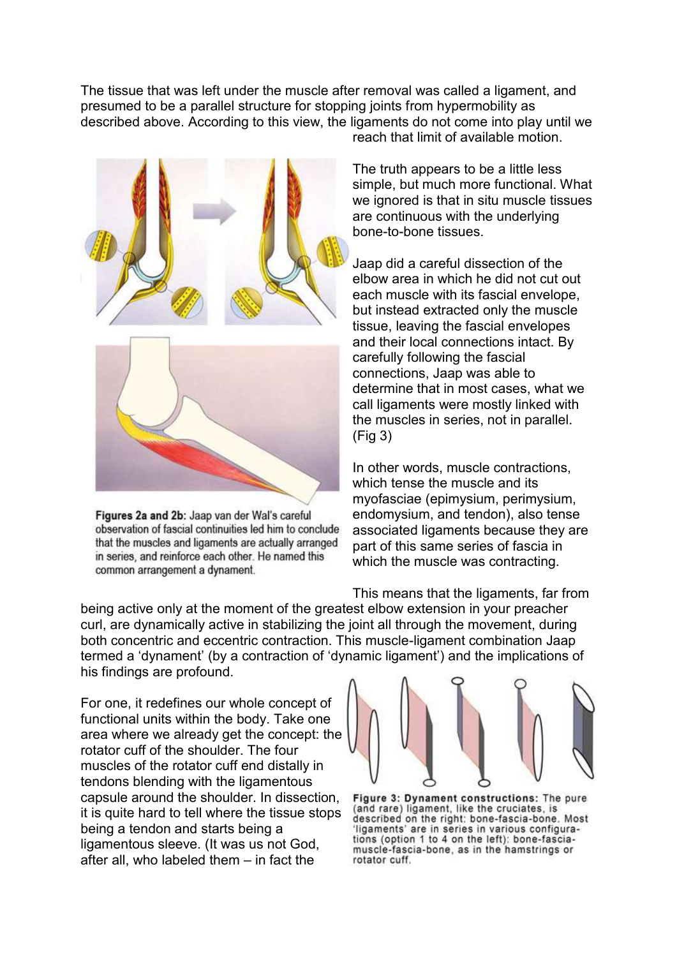The tissue that was left under the muscle after removal was called a ligament, and presumed to be a parallel structure for stopping joints from hypermobility as described above. According to this view, the ligaments do not come into play until we reach that limit of available motion.



Figures 2a and 2b: Jaap van der Wal's careful observation of fascial continuities led him to conclude that the muscles and ligaments are actually arranged in series, and reinforce each other. He named this common arrangement a dynament.

The truth appears to be a little less simple, but much more functional. What we ignored is that in situ muscle tissues are continuous with the underlying bone-to-bone tissues.

Jaap did a careful dissection of the elbow area in which he did not cut out each muscle with its fascial envelope, but instead extracted only the muscle tissue, leaving the fascial envelopes and their local connections intact. By carefully following the fascial connections, Jaap was able to determine that in most cases, what we call ligaments were mostly linked with the muscles in series, not in parallel. (Fig 3)

In other words, muscle contractions, which tense the muscle and its myofasciae (epimysium, perimysium, endomysium, and tendon), also tense associated ligaments because they are part of this same series of fascia in which the muscle was contracting.

This means that the ligaments, far from being active only at the moment of the greatest elbow extension in your preacher curl, are dynamically active in stabilizing the joint all through the movement, during both concentric and eccentric contraction. This muscle-ligament combination Jaap termed a 'dynament' (by a contraction of 'dynamic ligament') and the implications of his findings are profound.

For one, it redefines our whole concept of functional units within the body. Take one area where we already get the concept: the rotator cuff of the shoulder. The four muscles of the rotator cuff end distally in tendons blending with the ligamentous capsule around the shoulder. In dissection, it is quite hard to tell where the tissue stops being a tendon and starts being a ligamentous sleeve. (It was us not God, after all, who labeled them – in fact the



Figure 3: Dynament constructions: The pure (and rare) ligament, like the cruciates, is described on the right: bone-fascia-bone. Most ligaments' are in series in various configurations (option 1 to 4 on the left): bone-fasciamuscle-fascia-bone, as in the hamstrings or rotator cuff.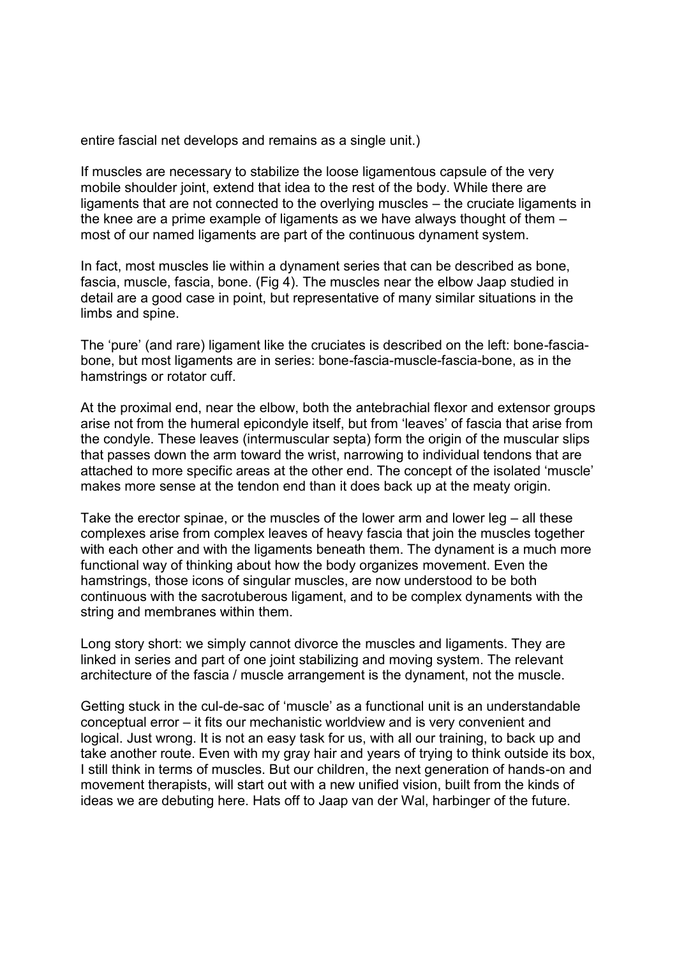entire fascial net develops and remains as a single unit.)

If muscles are necessary to stabilize the loose ligamentous capsule of the very mobile shoulder joint, extend that idea to the rest of the body. While there are ligaments that are not connected to the overlying muscles – the cruciate ligaments in the knee are a prime example of ligaments as we have always thought of them – most of our named ligaments are part of the continuous dynament system.

In fact, most muscles lie within a dynament series that can be described as bone, fascia, muscle, fascia, bone. (Fig 4). The muscles near the elbow Jaap studied in detail are a good case in point, but representative of many similar situations in the limbs and spine.

The 'pure' (and rare) ligament like the cruciates is described on the left: bone-fasciabone, but most ligaments are in series: bone-fascia-muscle-fascia-bone, as in the hamstrings or rotator cuff.

At the proximal end, near the elbow, both the antebrachial flexor and extensor groups arise not from the humeral epicondyle itself, but from 'leaves' of fascia that arise from the condyle. These leaves (intermuscular septa) form the origin of the muscular slips that passes down the arm toward the wrist, narrowing to individual tendons that are attached to more specific areas at the other end. The concept of the isolated 'muscle' makes more sense at the tendon end than it does back up at the meaty origin.

Take the erector spinae, or the muscles of the lower arm and lower leg – all these complexes arise from complex leaves of heavy fascia that join the muscles together with each other and with the ligaments beneath them. The dynament is a much more functional way of thinking about how the body organizes movement. Even the hamstrings, those icons of singular muscles, are now understood to be both continuous with the sacrotuberous ligament, and to be complex dynaments with the string and membranes within them.

Long story short: we simply cannot divorce the muscles and ligaments. They are linked in series and part of one joint stabilizing and moving system. The relevant architecture of the fascia / muscle arrangement is the dynament, not the muscle.

Getting stuck in the cul-de-sac of 'muscle' as a functional unit is an understandable conceptual error – it fits our mechanistic worldview and is very convenient and logical. Just wrong. It is not an easy task for us, with all our training, to back up and take another route. Even with my gray hair and years of trying to think outside its box, I still think in terms of muscles. But our children, the next generation of hands-on and movement therapists, will start out with a new unified vision, built from the kinds of ideas we are debuting here. Hats off to Jaap van der Wal, harbinger of the future.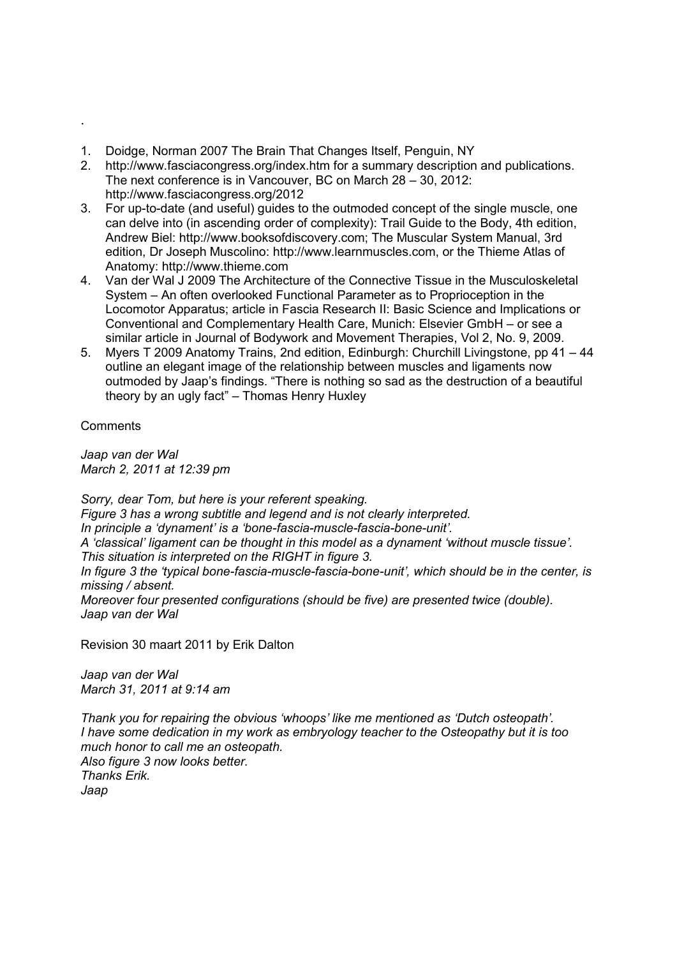- 1. Doidge, Norman 2007 The Brain That Changes Itself, Penguin, NY
- 2. http://www.fasciacongress.org/index.htm for a summary description and publications. The next conference is in Vancouver, BC on March 28 – 30, 2012: http://www.fasciacongress.org/2012
- 3. For up-to-date (and useful) guides to the outmoded concept of the single muscle, one can delve into (in ascending order of complexity): Trail Guide to the Body, 4th edition, Andrew Biel: http://www.booksofdiscovery.com; The Muscular System Manual, 3rd edition, Dr Joseph Muscolino: http://www.learnmuscles.com, or the Thieme Atlas of Anatomy: http://www.thieme.com
- 4. Van der Wal J 2009 The Architecture of the Connective Tissue in the Musculoskeletal System – An often overlooked Functional Parameter as to Proprioception in the Locomotor Apparatus; article in Fascia Research II: Basic Science and Implications or Conventional and Complementary Health Care, Munich: Elsevier GmbH – or see a similar article in Journal of Bodywork and Movement Therapies, Vol 2, No. 9, 2009.
- 5. Myers T 2009 Anatomy Trains, 2nd edition, Edinburgh: Churchill Livingstone, pp 41 44 outline an elegant image of the relationship between muscles and ligaments now outmoded by Jaap's findings. "There is nothing so sad as the destruction of a beautiful theory by an ugly fact" – Thomas Henry Huxley

**Comments** 

*Jaap van der Wal March 2, 2011 at 12:39 pm* 

*Sorry, dear Tom, but here is your referent speaking. Figure 3 has a wrong subtitle and legend and is not clearly interpreted. In principle a 'dynament' is a 'bone-fascia-muscle-fascia-bone-unit'. A 'classical' ligament can be thought in this model as a dynament 'without muscle tissue'. This situation is interpreted on the RIGHT in figure 3. In figure 3 the 'typical bone-fascia-muscle-fascia-bone-unit', which should be in the center, is missing / absent. Moreover four presented configurations (should be five) are presented twice (double). Jaap van der Wal*

Revision 30 maart 2011 by Erik Dalton

*[Jaap van der Wal](http://www.embryo.nl/) [March 31, 2011 at 9:14 am](http://erikdalton.com/media/published-articles/dynamic-ligaments/#comment-998#comment-998)*

*Thank you for repairing the obvious 'whoops' like me mentioned as 'Dutch osteopath'. I have some dedication in my work as embryology teacher to the Osteopathy but it is too much honor to call me an osteopath. Also figure 3 now looks better. Thanks Erik. Jaap*

.